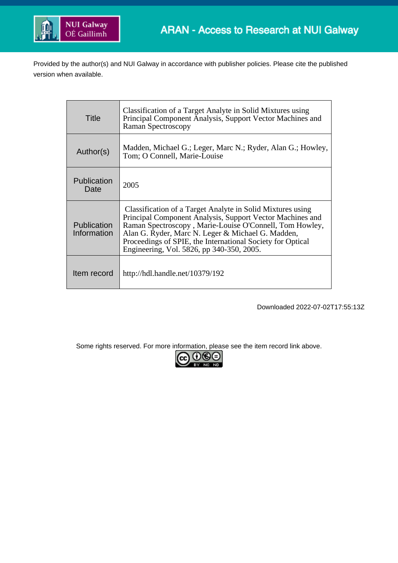

Provided by the author(s) and NUI Galway in accordance with publisher policies. Please cite the published version when available.

| Title                      | Classification of a Target Analyte in Solid Mixtures using<br>Principal Component Analysis, Support Vector Machines and<br><b>Raman Spectroscopy</b>                                                                                                                                                                                               |
|----------------------------|----------------------------------------------------------------------------------------------------------------------------------------------------------------------------------------------------------------------------------------------------------------------------------------------------------------------------------------------------|
| Author(s)                  | Madden, Michael G.; Leger, Marc N.; Ryder, Alan G.; Howley,<br>Tom; O Connell, Marie-Louise                                                                                                                                                                                                                                                        |
| Publication<br>Date        | 2005                                                                                                                                                                                                                                                                                                                                               |
| Publication<br>Information | Classification of a Target Analyte in Solid Mixtures using<br>Principal Component Analysis, Support Vector Machines and<br>Raman Spectroscopy, Marie-Louise O'Connell, Tom Howley,<br>Alan G. Ryder, Marc N. Leger & Michael G. Madden,<br>Proceedings of SPIE, the International Society for Optical<br>Engineering, Vol. 5826, pp 340-350, 2005. |
| Item record                | http://hdl.handle.net/10379/192                                                                                                                                                                                                                                                                                                                    |

Downloaded 2022-07-02T17:55:13Z

Some rights reserved. For more information, please see the item record link above.<br>  $\boxed{\mathbf{cc}} \ \overline{\mathbf{C}}$ 

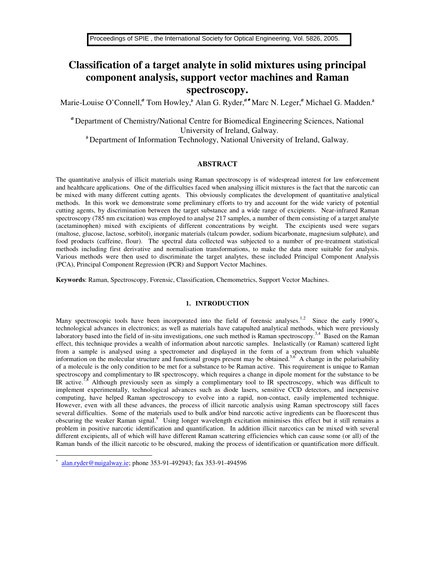# **Classification of a target analyte in solid mixtures using principal component analysis, support vector machines and Raman spectroscopy.**

Marie-Louise O'Connell,<sup>*a*</sup> Tom Howley,<sup>*b*</sup> Alan G. Ryder,<sup>*a*∗</sup> Marc N. Leger,<sup>*a*</sup> Michael G. Madden.<sup>*b*</sup>

*<sup>a</sup>* Department of Chemistry/National Centre for Biomedical Engineering Sciences, National University of Ireland, Galway.

<sup>*b*</sup> Department of Information Technology, National University of Ireland, Galway.

# **ABSTRACT**

The quantitative analysis of illicit materials using Raman spectroscopy is of widespread interest for law enforcement and healthcare applications. One of the difficulties faced when analysing illicit mixtures is the fact that the narcotic can be mixed with many different cutting agents. This obviously complicates the development of quantitative analytical methods. In this work we demonstrate some preliminary efforts to try and account for the wide variety of potential cutting agents, by discrimination between the target substance and a wide range of excipients. Near-infrared Raman spectroscopy (785 nm excitation) was employed to analyse 217 samples, a number of them consisting of a target analyte (acetaminophen) mixed with excipients of different concentrations by weight. The excipients used were sugars (maltose, glucose, lactose, sorbitol), inorganic materials (talcum powder, sodium bicarbonate, magnesium sulphate), and food products (caffeine, flour). The spectral data collected was subjected to a number of pre-treatment statistical methods including first derivative and normalisation transformations, to make the data more suitable for analysis. Various methods were then used to discriminate the target analytes, these included Principal Component Analysis (PCA), Principal Component Regression (PCR) and Support Vector Machines.

**Keywords**: Raman, Spectroscopy, Forensic, Classification, Chemometrics, Support Vector Machines.

## **1. INTRODUCTION**

Many spectroscopic tools have been incorporated into the field of forensic analyses.<sup>1,2</sup> Since the early 1990's, technological advances in electronics; as well as materials have catapulted analytical methods, which were previously laboratory based into the field of in-situ investigations, one such method is Raman spectroscopy.<sup>3,4</sup> Based on the Raman effect, this technique provides a wealth of information about narcotic samples. Inelastically (or Raman) scattered light from a sample is analysed using a spectrometer and displayed in the form of a spectrum from which valuable information on the molecular structure and functional groups present may be obtained.<sup>5,6</sup> A change in the polarisability of a molecule is the only condition to be met for a substance to be Raman active. This requirement is unique to Raman spectroscopy and complimentary to IR spectroscopy, which requires a change in dipole moment for the substance to be IR active. <sup>8</sup> Although previously seen as simply a complimentary tool to IR spectroscopy, which was difficult to implement experimentally, technological advances such as diode lasers, sensitive CCD detectors, and inexpensive computing, have helped Raman spectroscopy to evolve into a rapid, non-contact, easily implemented technique. However, even with all these advances, the process of illicit narcotic analysis using Raman spectroscopy still faces several difficulties. Some of the materials used to bulk and/or bind narcotic active ingredients can be fluorescent thus obscuring the weaker Raman signal.<sup>9</sup> Using longer wavelength excitation minimises this effect but it still remains a problem in positive narcotic identification and quantification. In addition illicit narcotics can be mixed with several different excipients, all of which will have different Raman scattering efficiencies which can cause some (or all) of the Raman bands of the illicit narcotic to be obscured, making the process of identification or quantification more difficult.

<sup>∗</sup> alan.ryder@nuigalway.ie; phone 353-91-492943; fax 353-91-494596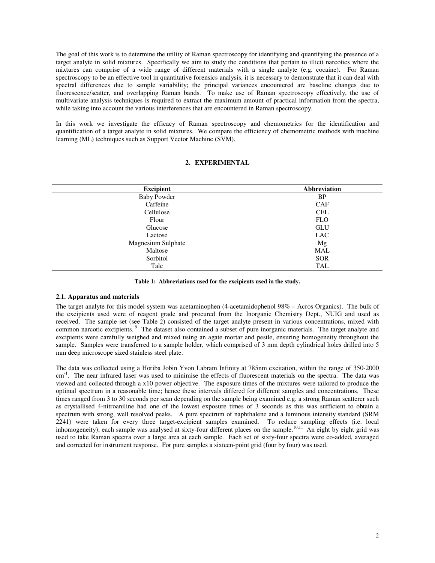The goal of this work is to determine the utility of Raman spectroscopy for identifying and quantifying the presence of a target analyte in solid mixtures. Specifically we aim to study the conditions that pertain to illicit narcotics where the mixtures can comprise of a wide range of different materials with a single analyte (e.g. cocaine). For Raman spectroscopy to be an effective tool in quantitative forensics analysis, it is necessary to demonstrate that it can deal with spectral differences due to sample variability; the principal variances encountered are baseline changes due to fluorescence/scatter, and overlapping Raman bands. To make use of Raman spectroscopy effectively, the use of multivariate analysis techniques is required to extract the maximum amount of practical information from the spectra, while taking into account the various interferences that are encountered in Raman spectroscopy.

In this work we investigate the efficacy of Raman spectroscopy and chemometrics for the identification and quantification of a target analyte in solid mixtures. We compare the efficiency of chemometric methods with machine learning (ML) techniques such as Support Vector Machine (SVM).

# **2. EXPERIMENTAL**

| <b>Excipient</b>   | <b>Abbreviation</b> |
|--------------------|---------------------|
| <b>Baby Powder</b> | <b>BP</b>           |
| Caffeine           | <b>CAF</b>          |
| Cellulose          | <b>CEL</b>          |
| Flour              | <b>FLO</b>          |
| Glucose            | <b>GLU</b>          |
| Lactose            | LAC                 |
| Magnesium Sulphate | Mg                  |
| Maltose            | <b>MAL</b>          |
| Sorbitol           | <b>SOR</b>          |
| Talc               | <b>TAL</b>          |

#### **Table 1: Abbreviations used for the excipients used in the study.**

#### **2.1. Apparatus and materials**

The target analyte for this model system was acetaminophen (4-acetamidophenol 98% – Acros Organics). The bulk of the excipients used were of reagent grade and procured from the Inorganic Chemistry Dept., NUIG and used as received. The sample set (see Table 2) consisted of the target analyte present in various concentrations, mixed with common narcotic excipients.<sup>9</sup> The dataset also contained a subset of pure inorganic materials. The target analyte and excipients were carefully weighed and mixed using an agate mortar and pestle, ensuring homogeneity throughout the sample. Samples were transferred to a sample holder, which comprised of 3 mm depth cylindrical holes drilled into 5 mm deep microscope sized stainless steel plate.

The data was collected using a Horiba Jobin Yvon Labram Infinity at 785nm excitation, within the range of 350-2000 cm<sup>-1</sup>. The near infrared laser was used to minimise the effects of fluorescent materials on the spectra. The data was viewed and collected through a x10 power objective. The exposure times of the mixtures were tailored to produce the optimal spectrum in a reasonable time; hence these intervals differed for different samples and concentrations. These times ranged from 3 to 30 seconds per scan depending on the sample being examined e.g. a strong Raman scatterer such as crystallised 4-nitroaniline had one of the lowest exposure times of 3 seconds as this was sufficient to obtain a spectrum with strong, well resolved peaks. A pure spectrum of naphthalene and a luminous intensity standard (SRM 2241) were taken for every three target-excipient samples examined. To reduce sampling effects (i.e. local inhomogeneity), each sample was analysed at sixty-four different places on the sample.<sup>10,11</sup> An eight by eight grid was used to take Raman spectra over a large area at each sample. Each set of sixty-four spectra were co-added, averaged and corrected for instrument response. For pure samples a sixteen-point grid (four by four) was used.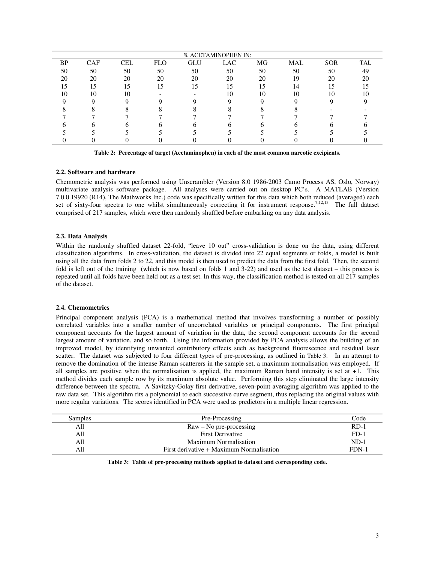|           |            |     |            |            | % ACETAMINOPHEN IN: |    |            |            |            |
|-----------|------------|-----|------------|------------|---------------------|----|------------|------------|------------|
| <b>BP</b> | <b>CAF</b> | CEL | <b>FLO</b> | <b>GLU</b> | LAC                 | MG | <b>MAL</b> | <b>SOR</b> | <b>TAL</b> |
| 50        | 50         | 50  | 50         | 50         | 50                  | 50 | 50         | 50         | 49         |
| 20        | 20         | 20  | 20         | 20         | 20                  | 20 | 19         | 20         | 20         |
|           | 15         | 5   | 15         | 15         | 15                  | 15 | 14         |            |            |
| 10        | 10         | 10  |            |            | 10                  | 10 | 10         | 10         |            |
|           |            |     |            |            |                     | Q  |            |            |            |
|           |            |     |            |            |                     |    |            |            |            |
|           |            |     |            |            |                     |    |            |            |            |
|           |            |     |            |            |                     |    |            |            |            |
|           |            |     |            |            |                     |    |            |            |            |
|           |            |     |            |            |                     |    |            |            |            |

**Table 2: Percentage of target (Acetaminophen) in each of the most common narcotic excipients.**

## **2.2. Software and hardware**

Chemometric analysis was performed using Unscrambler (Version 8.0 1986-2003 Camo Process AS, Oslo, Norway) multivariate analysis software package. All analyses were carried out on desktop PC's. A MATLAB (Version 7.0.0.19920 (R14), The Mathworks Inc.) code was specifically written for this data which both reduced (averaged) each set of sixty-four spectra to one whilst simultaneously correcting it for instrument response.<sup>7,12,13</sup> The full dataset comprised of 217 samples, which were then randomly shuffled before embarking on any data analysis.

## **2.3. Data Analysis**

Within the randomly shuffled dataset 22-fold, "leave 10 out" cross-validation is done on the data, using different classification algorithms. In cross-validation, the dataset is divided into 22 equal segments or folds, a model is built using all the data from folds 2 to 22, and this model is then used to predict the data from the first fold. Then, the second fold is left out of the training (which is now based on folds 1 and 3-22) and used as the test dataset – this process is repeated until all folds have been held out as a test set. In this way, the classification method is tested on all 217 samples of the dataset.

# **2.4. Chemometrics**

Principal component analysis (PCA) is a mathematical method that involves transforming a number of possibly correlated variables into a smaller number of uncorrelated variables or principal components. The first principal component accounts for the largest amount of variation in the data, the second component accounts for the second largest amount of variation, and so forth. Using the information provided by PCA analysis allows the building of an improved model, by identifying unwanted contributory effects such as background fluorescence and residual laser scatter. The dataset was subjected to four different types of pre-processing, as outlined in Table 3. In an attempt to remove the domination of the intense Raman scatterers in the sample set, a maximum normalisation was employed. If all samples are positive when the normalisation is applied, the maximum Raman band intensity is set at +1. This method divides each sample row by its maximum absolute value. Performing this step eliminated the large intensity difference between the spectra. A Savitzky-Golay first derivative, seven-point averaging algorithm was applied to the raw data set. This algorithm fits a polynomial to each successive curve segment, thus replacing the original values with more regular variations. The scores identified in PCA were used as predictors in a multiple linear regression.

| Samples | Pre-Processing                           | Code   |
|---------|------------------------------------------|--------|
| A11     | $\text{Raw} - \text{No pre-processing}$  | $RD-1$ |
| A11     | <b>First Derivative</b>                  | $FD-1$ |
| All     | Maximum Normalisation                    | $ND-1$ |
| All     | First derivative + Maximum Normalisation | FDN-1  |

**Table 3: Table of pre-processing methods applied to dataset and corresponding code.**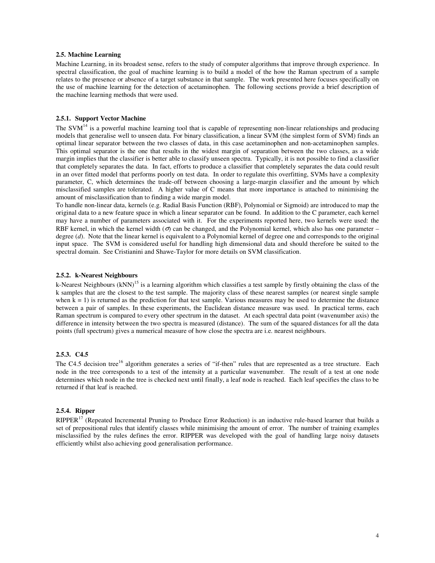## **2.5. Machine Learning**

Machine Learning, in its broadest sense, refers to the study of computer algorithms that improve through experience. In spectral classification, the goal of machine learning is to build a model of the how the Raman spectrum of a sample relates to the presence or absence of a target substance in that sample. The work presented here focuses specifically on the use of machine learning for the detection of acetaminophen. The following sections provide a brief description of the machine learning methods that were used.

## **2.5.1. Support Vector Machine**

The SVM $<sup>14</sup>$  is a powerful machine learning tool that is capable of representing non-linear relationships and producing</sup> models that generalise well to unseen data. For binary classification, a linear SVM (the simplest form of SVM) finds an optimal linear separator between the two classes of data, in this case acetaminophen and non-acetaminophen samples. This optimal separator is the one that results in the widest margin of separation between the two classes, as a wide margin implies that the classifier is better able to classify unseen spectra. Typically, it is not possible to find a classifier that completely separates the data. In fact, efforts to produce a classifier that completely separates the data could result in an over fitted model that performs poorly on test data. In order to regulate this overfitting, SVMs have a complexity parameter, C, which determines the trade-off between choosing a large-margin classifier and the amount by which misclassified samples are tolerated. A higher value of C means that more importance is attached to minimising the amount of misclassification than to finding a wide margin model.

To handle non-linear data, kernels (e.g. Radial Basis Function (RBF), Polynomial or Sigmoid) are introduced to map the original data to a new feature space in which a linear separator can be found. In addition to the C parameter, each kernel may have a number of parameters associated with it. For the experiments reported here, two kernels were used: the RBF kernel, in which the kernel width  $\sigma$  can be changed, and the Polynomial kernel, which also has one parameter – degree (*d*). Note that the linear kernel is equivalent to a Polynomial kernel of degree one and corresponds to the original input space. The SVM is considered useful for handling high dimensional data and should therefore be suited to the spectral domain. See Cristianini and Shawe-Taylor for more details on SVM classification.

#### **2.5.2. k-Nearest Neighbours**

k-Nearest Neighbours (kNN)<sup>15</sup> is a learning algorithm which classifies a test sample by firstly obtaining the class of the k samples that are the closest to the test sample. The majority class of these nearest samples (or nearest single sample when  $k = 1$ ) is returned as the prediction for that test sample. Various measures may be used to determine the distance between a pair of samples. In these experiments, the Euclidean distance measure was used. In practical terms, each Raman spectrum is compared to every other spectrum in the dataset. At each spectral data point (wavenumber axis) the difference in intensity between the two spectra is measured (distance). The sum of the squared distances for all the data points (full spectrum) gives a numerical measure of how close the spectra are i.e. nearest neighbours.

### **2.5.3. C4.5**

The C4.5 decision tree<sup>16</sup> algorithm generates a series of "if-then" rules that are represented as a tree structure. Each node in the tree corresponds to a test of the intensity at a particular wavenumber. The result of a test at one node determines which node in the tree is checked next until finally, a leaf node is reached. Each leaf specifies the class to be returned if that leaf is reached.

## **2.5.4. Ripper**

 $RIPPER<sup>17</sup>$  (Repeated Incremental Pruning to Produce Error Reduction) is an inductive rule-based learner that builds a set of prepositional rules that identify classes while minimising the amount of error. The number of training examples misclassified by the rules defines the error. RIPPER was developed with the goal of handling large noisy datasets efficiently whilst also achieving good generalisation performance.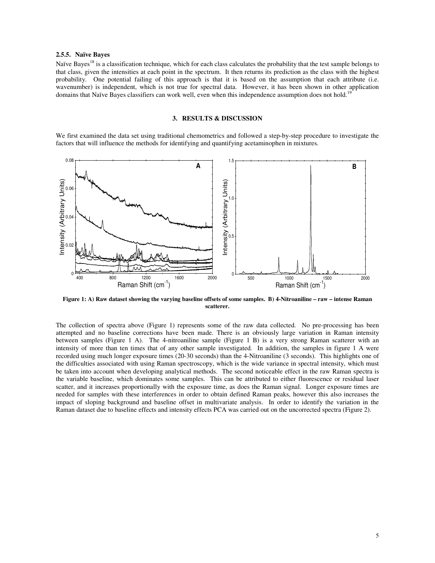#### **2.5.5. Naïve Bayes**

Naïve Bayes<sup>18</sup> is a classification technique, which for each class calculates the probability that the test sample belongs to that class, given the intensities at each point in the spectrum. It then returns its prediction as the class with the highest probability. One potential failing of this approach is that it is based on the assumption that each attribute (i.e. wavenumber) is independent, which is not true for spectral data. However, it has been shown in other application domains that Naïve Bayes classifiers can work well, even when this independence assumption does not hold.<sup>19</sup>

## **3. RESULTS & DISCUSSION**

We first examined the data set using traditional chemometrics and followed a step-by-step procedure to investigate the factors that will influence the methods for identifying and quantifying acetaminophen in mixtures.



Figure 1: A) Raw dataset showing the varying baseline offsets of some samples. B) 4-Nitroaniline – raw – intense Raman **scatterer.**

The collection of spectra above (Figure 1) represents some of the raw data collected. No pre-processing has been attempted and no baseline corrections have been made. There is an obviously large variation in Raman intensity between samples (Figure 1 A). The 4-nitroaniline sample (Figure 1 B) is a very strong Raman scatterer with an intensity of more than ten times that of any other sample investigated. In addition, the samples in figure 1 A were recorded using much longer exposure times (20-30 seconds) than the 4-Nitroaniline (3 seconds). This highlights one of the difficulties associated with using Raman spectroscopy, which is the wide variance in spectral intensity, which must be taken into account when developing analytical methods. The second noticeable effect in the raw Raman spectra is the variable baseline, which dominates some samples. This can be attributed to either fluorescence or residual laser scatter, and it increases proportionally with the exposure time, as does the Raman signal. Longer exposure times are needed for samples with these interferences in order to obtain defined Raman peaks, however this also increases the impact of sloping background and baseline offset in multivariate analysis. In order to identify the variation in the Raman dataset due to baseline effects and intensity effects PCA was carried out on the uncorrected spectra (Figure 2).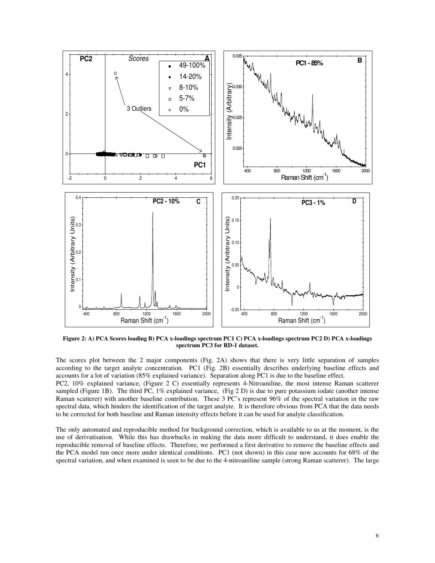

Figure 2: A) PCA Scores loading B) PCA x-loadings spectrum PC1 C) PCA x-loadings spectrum PC2 D) PCA x-loadings **spectrum PC3 for RD-1 dataset.**

The scores plot between the 2 major components (Fig. 2A) shows that there is very little separation of samples according to the target analyte concentration. PC1 (Fig. 2B) essentially describes underlying baseline effects and accounts for a lot of variation (85% explained variance). Separation along PC1 is due to the baseline effect. PC2, 10% explained variance, (Figure 2 C) essentially represents 4-Nitroaniline, the most intense Raman scatterer sampled (Figure 1B). The third PC, 1% explained variance, (Fig 2 D) is due to pure potassium iodate (another intense Raman scatterer) with another baseline contribution. These 3 PC's represent 96% of the spectral variation in the raw spectral data, which hinders the identification of the target analyte. It is therefore obvious from PCA that the data needs to be corrected for both baseline and Raman intensity effects before it can be used for analyte classification.

The only automated and reproducible method for background correction, which is available to us at the moment, is the use of derivatisation. While this has drawbacks in making the data more difficult to understand, it does enable the reproducible removal of baseline effects. Therefore, we performed a first derivative to remove the baseline effects and the PCA model run once more under identical conditions. PC1 (not shown) in this case now accounts for 68% of the spectral variation, and when examined is seen to be due to the 4-nitroaniline sample (strong Raman scatterer). The large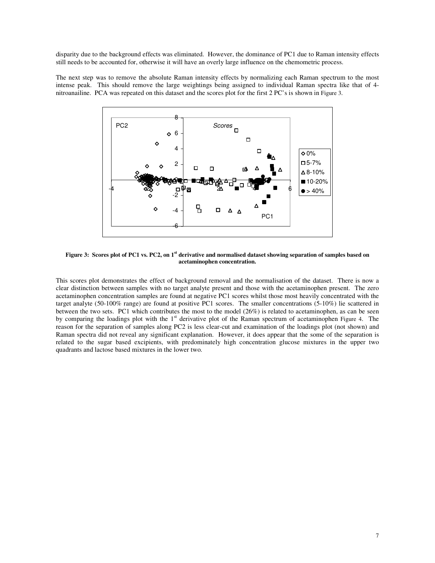disparity due to the background effects was eliminated. However, the dominance of PC1 due to Raman intensity effects still needs to be accounted for, otherwise it will have an overly large influence on the chemometric process.

The next step was to remove the absolute Raman intensity effects by normalizing each Raman spectrum to the most intense peak. This should remove the large weightings being assigned to individual Raman spectra like that of 4 nitroanailine. PCA was repeated on this dataset and the scores plot for the first 2 PC's is shown in Figure 3.



Figure 3: Scores plot of PC1 vs. PC2, on 1<sup>st</sup> derivative and normalised dataset showing separation of samples based on **acetaminophen concentration.**

This scores plot demonstrates the effect of background removal and the normalisation of the dataset. There is now a clear distinction between samples with no target analyte present and those with the acetaminophen present. The zero acetaminophen concentration samples are found at negative PC1 scores whilst those most heavily concentrated with the target analyte (50-100% range) are found at positive PC1 scores. The smaller concentrations (5-10%) lie scattered in between the two sets. PC1 which contributes the most to the model (26%) is related to acetaminophen, as can be seen by comparing the loadings plot with the 1<sup>st</sup> derivative plot of the Raman spectrum of acetaminophen Figure 4. The reason for the separation of samples along PC2 is less clear-cut and examination of the loadings plot (not shown) and Raman spectra did not reveal any significant explanation. However, it does appear that the some of the separation is related to the sugar based excipients, with predominately high concentration glucose mixtures in the upper two quadrants and lactose based mixtures in the lower two.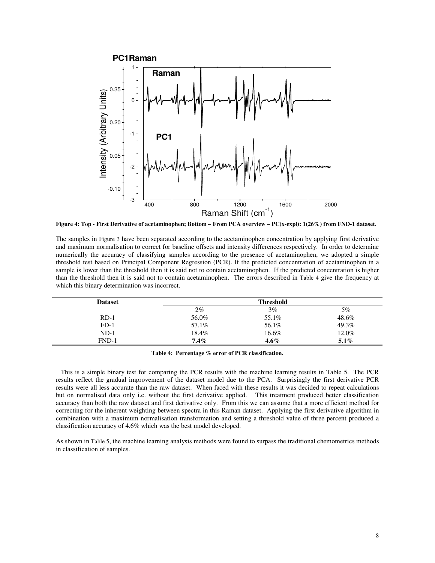

Figure 4: Top - First Derivative of acetaminophen; Bottom – From PCA overview – PC(x-expl): 1(26%) from FND-1 dataset.

The samples in Figure 3 have been separated according to the acetaminophen concentration by applying first derivative and maximum normalisation to correct for baseline offsets and intensity differences respectively. In order to determine numerically the accuracy of classifying samples according to the presence of acetaminophen, we adopted a simple threshold test based on Principal Component Regression (PCR). If the predicted concentration of acetaminophen in a sample is lower than the threshold then it is said not to contain acetaminophen. If the predicted concentration is higher than the threshold then it is said not to contain acetaminophen. The errors described in Table 4 give the frequency at which this binary determination was incorrect.

| <b>Dataset</b> |         | <b>Threshold</b> |         |
|----------------|---------|------------------|---------|
|                | $2\%$   | $3\%$            | $5\%$   |
| $RD-1$         | 56.0%   | 55.1%            | 48.6%   |
| $FD-1$         | 57.1%   | 56.1%            | 49.3%   |
| $ND-1$         | 18.4%   | 16.6%            | 12.0%   |
| $FND-1$        | $7.4\%$ | $4.6\%$          | $5.1\%$ |

**Table 4: Percentage % error of PCR classification.**

This is a simple binary test for comparing the PCR results with the machine learning results in Table 5. The PCR results reflect the gradual improvement of the dataset model due to the PCA. Surprisingly the first derivative PCR results were all less accurate than the raw dataset. When faced with these results it was decided to repeat calculations but on normalised data only i.e. without the first derivative applied. This treatment produced better classification accuracy than both the raw dataset and first derivative only. From this we can assume that a more efficient method for correcting for the inherent weighting between spectra in this Raman dataset. Applying the first derivative algorithm in combination with a maximum normalisation transformation and setting a threshold value of three percent produced a classification accuracy of 4.6% which was the best model developed.

As shown in Table 5, the machine learning analysis methods were found to surpass the traditional chemometrics methods in classification of samples.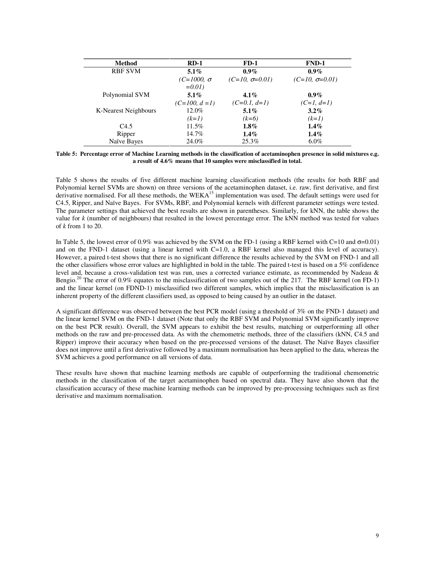| Method               | <b>RD-1</b>                    | $FD-1$                | FND-1                 |
|----------------------|--------------------------------|-----------------------|-----------------------|
| <b>RBF SVM</b>       | $5.1\%$                        | $0.9\%$               | $0.9\%$               |
|                      | $(C=1000, \sigma$<br>$=0.01$ ) | $(C=10, \sigma=0.01)$ | $(C=10, \sigma=0.01)$ |
| Polynomial SVM       | 5.1%                           | 4.1%                  | $0.9\%$               |
|                      | $(C=100, d=1)$                 | $(C=0.1, d=1)$        | $(C=1, d=1)$          |
| K-Nearest Neighbours | $12.0\%$                       | 5.1%                  | $3.2\%$               |
|                      | $(k=1)$                        | $(k=6)$               | $(k=1)$               |
| C4.5                 | $11.5\%$                       | $1.8\%$               | $1.4\%$               |
| Ripper               | 14.7%                          | $1.4\%$               | $1.4\%$               |
| Naïve Bayes          | 24.0%                          | 25.3%                 | $6.0\%$               |

Table 5: Percentage error of Machine Learning methods in the classification of acetaminophen presence in solid mixtures e.g. **a result of 4.6% means that 10 samples were misclassified in total.**

Table 5 shows the results of five different machine learning classification methods (the results for both RBF and Polynomial kernel SVMs are shown) on three versions of the acetaminophen dataset, i.e. raw, first derivative, and first derivative normalised. For all these methods, the WEKA<sup>15</sup> implementation was used. The default settings were used for C4.5, Ripper, and Naïve Bayes. For SVMs, RBF, and Polynomial kernels with different parameter settings were tested. The parameter settings that achieved the best results are shown in parentheses. Similarly, for kNN, the table shows the value for *k* (number of neighbours) that resulted in the lowest percentage error. The kNN method was tested for values of *k* from 1 to 20.

In Table 5, the lowest error of 0.9% was achieved by the SVM on the FD-1 (using a RBF kernel with C=10 and  $\sigma$ =0.01) and on the FND-1 dataset (using a linear kernel with  $C=1.0$ , a RBF kernel also managed this level of accuracy). However, a paired t-test shows that there is no significant difference the results achieved by the SVM on FND-1 and all the other classifiers whose error values are highlighted in bold in the table. The paired t-test is based on a 5% confidence level and, because a cross-validation test was run, uses a corrected variance estimate, as recommended by Nadeau & Bengio.<sup>20</sup> The error of 0.9% equates to the misclassification of two samples out of the 217. The RBF kernel (on FD-1) and the linear kernel (on FDND-1) misclassified two different samples, which implies that the misclassification is an inherent property of the different classifiers used, as opposed to being caused by an outlier in the dataset.

A significant difference was observed between the best PCR model (using a threshold of 3% on the FND-1 dataset) and the linear kernel SVM on the FND-1 dataset (Note that only the RBF SVM and Polynomial SVM significantly improve on the best PCR result). Overall, the SVM appears to exhibit the best results, matching or outperforming all other methods on the raw and pre-processed data. As with the chemometric methods, three of the classifiers (kNN, C4.5 and Ripper) improve their accuracy when based on the pre-processed versions of the dataset. The Naïve Bayes classifier does not improve until a first derivative followed by a maximum normalisation has been applied to the data, whereas the SVM achieves a good performance on all versions of data.

These results have shown that machine learning methods are capable of outperforming the traditional chemometric methods in the classification of the target acetaminophen based on spectral data. They have also shown that the classification accuracy of these machine learning methods can be improved by pre-processing techniques such as first derivative and maximum normalisation.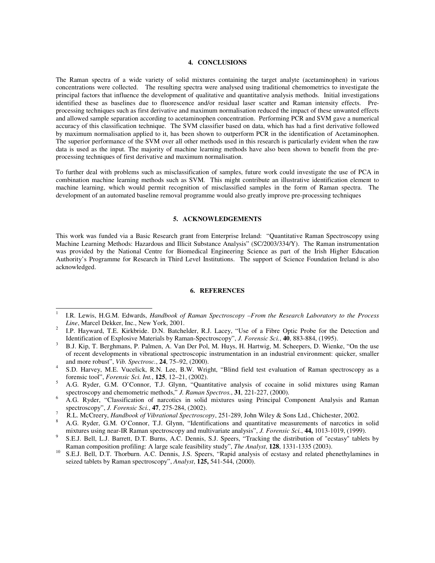## **4. CONCLUSIONS**

The Raman spectra of a wide variety of solid mixtures containing the target analyte (acetaminophen) in various concentrations were collected. The resulting spectra were analysed using traditional chemometrics to investigate the principal factors that influence the development of qualitative and quantitative analysis methods. Initial investigations identified these as baselines due to fluorescence and/or residual laser scatter and Raman intensity effects. Preprocessing techniques such as first derivative and maximum normalisation reduced the impact of these unwanted effects and allowed sample separation according to acetaminophen concentration. Performing PCR and SVM gave a numerical accuracy of this classification technique. The SVM classifier based on data, which has had a first derivative followed by maximum normalisation applied to it, has been shown to outperform PCR in the identification of Acetaminophen. The superior performance of the SVM over all other methods used in this research is particularly evident when the raw data is used as the input. The majority of machine learning methods have also been shown to benefit from the preprocessing techniques of first derivative and maximum normalisation.

To further deal with problems such as misclassification of samples, future work could investigate the use of PCA in combination machine learning methods such as SVM. This might contribute an illustrative identification element to machine learning, which would permit recognition of misclassified samples in the form of Raman spectra. The development of an automated baseline removal programme would also greatly improve pre-processing techniques

## **5. ACKNOWLEDGEMENTS**

This work was funded via a Basic Research grant from Enterprise Ireland: "Quantitative Raman Spectroscopy using Machine Learning Methods: Hazardous and Illicit Substance Analysis" (SC/2003/334/Y). The Raman instrumentation was provided by the National Centre for Biomedical Engineering Science as part of the Irish Higher Education Authority's Programme for Research in Third Level Institutions. The support of Science Foundation Ireland is also acknowledged.

## **6. REFERENCES**

<sup>1</sup> I.R. Lewis, H.G.M. Edwards, *Handbook of Raman Spectroscopy –From the Research Laboratory to the Process Line*, Marcel Dekker, Inc., New York, 2001.

<sup>2</sup> I.P. Hayward, T.E. Kirkbride. D.N. Batchelder, R.J. Lacey, "Use of a Fibre Optic Probe for the Detection and Identification of Explosive Materials by Raman-Spectroscopy", *J. Forensic Sci.*, **40**, 883-884, (1995).

<sup>&</sup>lt;sup>3</sup> B.J. Kip, T. Berghmans, P. Palmen, A. Van Der Pol, M. Huys, H. Hartwig, M. Scheepers, D. Wienke, "On the use of recent developments in vibrational spectroscopic instrumentation in an industrial environment: quicker, smaller and more robust", *Vib. Spectrosc.*, **24**, 75–92, (2000). 4

S.D. Harvey, M.E. Vucelick, R.N. Lee, B.W. Wright, "Blind field test evaluation of Raman spectroscopy as a forensic tool", *Forensic Sci. Int.*, **125**, 12–21, (2002).

<sup>5</sup> A.G. Ryder, G.M. O'Connor, T.J. Glynn, "Quantitative analysis of cocaine in solid mixtures using Raman spectroscopy and chemometric methods," *J. Raman Spectros.*, **31**, 221-227, (2000).

<sup>&</sup>lt;sup>6</sup> A.G. Ryder, "Classification of narcotics in solid mixtures using Principal Component Analysis and Raman spectroscopy", *J. Forensic Sci.*, **47**, 275-284, (2002).

<sup>7</sup> R.L. McCreery, *Handbook of Vibrational Spectroscopy*, 251-289, John Wiley & Sons Ltd., Chichester, 2002.

<sup>8</sup> A.G. Ryder, G.M. O'Connor, T.J. Glynn, "Identifications and quantitative measurements of narcotics in solid mixtures using near-IR Raman spectroscopy and multivariate analysis", *J. Forensic Sci.*, **44,** 1013-1019, (1999). 9

S.E.J. Bell, L.J. Barrett, D.T. Burns, A.C. Dennis, S.J. Speers, "Tracking the distribution of "ecstasy" tablets by Raman composition profiling: A large scale feasibility study", *The Analyst*, **128**, 1331-1335 (2003).

<sup>10</sup> S.E.J. Bell, D.T. Thorburn. A.C. Dennis, J.S. Speers, "Rapid analysis of ecstasy and related phenethylamines in seized tablets by Raman spectroscopy", *Analyst*, **125,** 541-544, (2000).